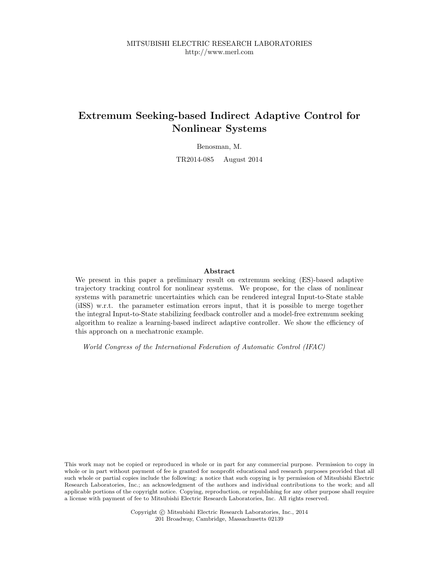# Extremum Seeking-based Indirect Adaptive Control for Nonlinear Systems

Benosman, M.

TR2014-085 August 2014

#### Abstract

We present in this paper a preliminary result on extremum seeking (ES)-based adaptive trajectory tracking control for nonlinear systems. We propose, for the class of nonlinear systems with parametric uncertainties which can be rendered integral Input-to-State stable (iISS) w.r.t. the parameter estimation errors input, that it is possible to merge together the integral Input-to-State stabilizing feedback controller and a model-free extremum seeking algorithm to realize a learning-based indirect adaptive controller. We show the efficiency of this approach on a mechatronic example.

World Congress of the International Federation of Automatic Control (IFAC)

This work may not be copied or reproduced in whole or in part for any commercial purpose. Permission to copy in whole or in part without payment of fee is granted for nonprofit educational and research purposes provided that all such whole or partial copies include the following: a notice that such copying is by permission of Mitsubishi Electric Research Laboratories, Inc.; an acknowledgment of the authors and individual contributions to the work; and all applicable portions of the copyright notice. Copying, reproduction, or republishing for any other purpose shall require a license with payment of fee to Mitsubishi Electric Research Laboratories, Inc. All rights reserved.

> Copyright © Mitsubishi Electric Research Laboratories, Inc., 2014 201 Broadway, Cambridge, Massachusetts 02139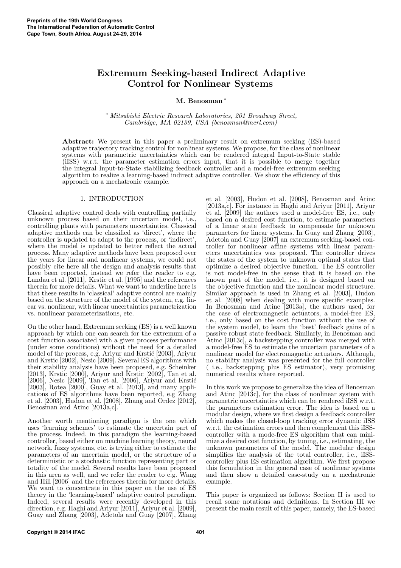## Extremum Seeking-based Indirect Adaptive Control for Nonlinear Systems

M. Benosman<sup>\*</sup>

∗ Mitsubishi Electric Research Laboratories, 201 Broadway Street, Cambridge, MA 02139, USA (benosman@merl.com)

Abstract: We present in this paper a preliminary result on extremum seeking (ES)-based adaptive trajectory tracking control for nonlinear systems. We propose, for the class of nonlinear systems with parametric uncertainties which can be rendered integral Input-to-State stable (iISS) w.r.t. the parameter estimation errors input, that it is possible to merge together the integral Input-to-State stabilizing feedback controller and a model-free extremum seeking algorithm to realize a learning-based indirect adaptive controller. We show the efficiency of this approach on a mechatronic example.

## 1. INTRODUCTION

Classical adaptive control deals with controlling partially unknown process based on their uncertain model, i.e., controlling plants with parameters uncertainties. Classical adaptive methods can be classified as 'direct', where the controller is updated to adapt to the process, or 'indirect', where the model is updated to better reflect the actual process. Many adaptive methods have been proposed over the years for linear and nonlinear systems, we could not possibly cite here all the design and analysis results that have been reported, instead we refer the reader to e.g. Landau et al. [2011], Krstic et al. [1995] and the references therein for more details. What we want to underline here is that these results in 'classical' adaptive control are mainly based on the structure of the model of the system, e.g. linear vs. nonlinear, with linear uncertainties parametrization vs. nonlinear parameterizations, etc.

On the other hand, Extremum seeking (ES) is a well known approach by which one can search for the extremum of a cost function associated with a given process performance (under some conditions) without the need for a detailed model of the process, e.g. Ariyur and Krstić [2003], Ariyur and Krstic [2002], Nesic [2009]. Several ES algorithms with their stability analysis have been proposed, e.g. Scheinker [2013], Krstic [2000], Ariyur and Krstic [2002], Tan et al.  $[2006]$ , Nesic  $[2009]$ , Tan et al.  $[2006]$ , Ariyur and Krstić [2003], Rotea [2000], Guay et al. [2013], and many applications of ES algorithms have been reported, e.g Zhang et al. [2003], Hudon et al. [2008], Zhang and Ordez [2012], Benosman and Atinc [2013a,c].

Another worth mentioning paradigm is the one which uses 'learning schemes' to estimate the uncertain part of the process. Indeed, in this paradigm the learning-based controller, based either on machine learning theory, neural network, fuzzy systems, etc. is trying either to estimate the parameters of an uncertain model, or the structure of a deterministic or a stochastic function representing part or totality of the model. Several results have been proposed in this area as well, and we refer the reader to e.g. Wang and Hill [2006] and the references therein for more details. We want to concentrate in this paper on the use of ES theory in the 'learning-based' adaptive control paradigm. Indeed, several results were recently developed in this direction, e.g. Haghi and Ariyur [2011], Ariyur et al. [2009], Guay and Zhang [2003], Adetola and Guay [2007], Zhang et al. [2003], Hudon et al. [2008], Benosman and Atinc [2013a,c]. For instance in Haghi and Ariyur [2011], Ariyur et al. [2009] the authors used a model-free ES, i.e., only based on a desired cost function, to estimate parameters of a linear state feedback to compensate for unknown parameters for linear systems. In Guay and Zhang [2003], Adetola and Guay [2007] an extremum seeking-based controller for nonlinear affine systems with linear parameters uncertainties was proposed. The controller drives the states of the system to unknown optimal states that optimize a desired objective function. The ES controller is not model-free in the sense that it is based on the known part of the model, i.e., it is designed based on the objective function and the nonlinear model structure. Similar approach is used in Zhang et al. [2003], Hudon et al. [2008] when dealing with more specific examples. In Benosman and Atinc [2013a], the authors used, for the case of electromagnetic actuators, a model-free ES, i.e., only based on the cost function without the use of the system model, to learn the 'best' feedback gains of a passive robust state feedback. Similarly, in Benosman and Atinc [2013c], a backstepping controller was merged with a model-free ES to estimate the uncertain parameters of a nonlinear model for electromagnetic actuators. Although, no stability analysis was presented for the full controller ( i.e., backstepping plus ES estimator), very promising numerical results where reported.

In this work we propose to generalize the idea of Benosman and Atinc [2013c], for the class of nonlinear system with parametric uncertainties which can be rendered iISS w.r.t. the parameters estimation error. The idea is based on a modular design, where we first design a feedback controller which makes the closed-loop tracking error dynamic iISS w.r.t. the estimation errors and then complement this iISScontroller with a mode-free ES algorithm that can minimize a desired cost function, by tuning, i.e., estimating, the unknown parameters of the model. The modular design simplifies the analysis of the total controller, i.e., iISScontroller plus ES estimation algorithm. We first propose this formulation in the general case of nonlinear systems and then show a detailed case-study on a mechatronic example.

This paper is organized as follows: Section II is used to recall some notations and definitions. In Section III we present the main result of this paper, namely, the ES-based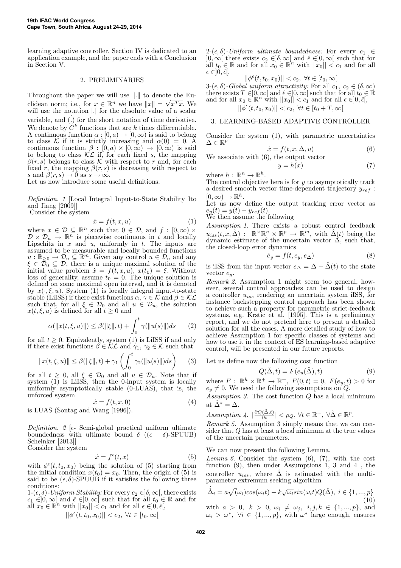learning adaptive controller. Section IV is dedicated to an application example, and the paper ends with a Conclusion in Section V.

## 2. PRELIMINARIES

Throughout the paper we will use ∥.∥ to denote the Euclidean norm; i.e., for  $x \in \mathbb{R}^n$  we have  $||x|| = \sqrt{x^Tx}$ . We will use the notation |.| for the absolute value of a scalar variable, and  $(.)$  for the short notation of time derivative. We denote by  $\mathbb{C}^k$  functions that are  $k$  times differentiable. A continuous function  $\alpha : [0, a) \to [0, \infty)$  is said to belong to class K if it is strictly increasing and  $\alpha(0) = 0$ . A continuous function  $\beta : [0, a) \times [0, \infty) \to [0, \infty)$  is said to belong to class  $KL$  if, for each fixed s, the mapping  $\beta(r, s)$  belongs to class K with respect to r and, for each fixed r, the mapping  $\beta(r, s)$  is decreasing with respect to s and  $\beta(r, s) \rightarrow 0$  as  $s \rightarrow \infty$ .

Let us now introduce some useful definitions.

Definition. 1 [Local Integral Input-to-State Stability Ito and Jiang [2009]] Consider the system

$$
\dot{x} = f(t, x, u) \tag{1}
$$

where  $x \in \mathcal{D} \subseteq \mathbb{R}^n$  such that  $0 \in \mathcal{D}$ , and  $f : [0, \infty) \times$  $\mathcal{D} \times \mathcal{D}_u \to \mathbb{R}^n$  is piecewise continuous in t and locally Lipschitz in  $x$  and  $u$ , uniformly in  $t$ . The inputs are assumed to be measurable and locally bounded functions  $u : \mathbb{R}_{\geq 0} \to \mathcal{D}_u \subseteq \mathbb{R}^m$ . Given any control  $u \in \mathcal{D}_u$  and any  $\xi \in \mathcal{D}_0 \subseteq \mathcal{D}$ , there is a unique maximal solution of the initial value problem  $\dot{x} = f(t, x, u)$ ,  $x(t_0) = \xi$ . Without loss of generality, assume  $t_0 = 0$ . The unique solution is defined on some maximal open interval, and it is denoted by  $x(\cdot, \xi, u)$ . System (1) is locally integral input-to-state stable (LiISS) if there exist functions  $\alpha, \gamma \in \mathcal{K}$  and  $\beta \in \mathcal{KL}$ such that, for all  $\xi \in \mathcal{D}_0$  and all  $u \in \mathcal{D}_u$ , the solution  $x(t, \xi, u)$  is defined for all  $t \ge 0$  and

$$
\alpha(\|x(t,\xi,u)\|) \le \beta(\|\xi\|,t) + \int_0^t \gamma(\|u(s)\|)ds \qquad (2)
$$

for all  $t \geq 0$ . Equivalently, system (1) is LiISS if and only if there exist functions  $\beta \in \mathcal{KL}$  and  $\gamma_1, \gamma_2 \in \mathcal{K}$  such that

$$
||x(t, \xi, u)|| \le \beta(||\xi||, t) + \gamma_1 \left( \int_0^t \gamma_2(||u(s)||)ds \right)
$$
 (3)

for all  $t \geq 0$ , all  $\xi \in \mathcal{D}_0$  and all  $u \in \mathcal{D}_u$ . Note that if system (1) is LiISS, then the 0-input system is locally uniformly asymptotically stable (0-LUAS), that is, the unforced system

$$
\begin{aligned}\n\dot{x} &= f(t, x, 0) \\
d \text{ Wang [1996]}\n\end{aligned} \tag{4}
$$

is LUAS (Sontag and Wang [1996]).

Definition. 2 [ $\epsilon$ - Semi-global practical uniform ultimate boundedness with ultimate bound  $\delta$  (( $\epsilon - \delta$ )-SPUUB) Scheinker [2013]] Consider the system

$$
\dot{x} = f^{\epsilon}(t, x) \tag{5}
$$

with  $\phi^{\epsilon}(t,t_0,x_0)$  being the solution of (5) starting from the initial condition  $x(t_0) = x_0$ . Then, the origin of (5) is said to be  $(\epsilon, \delta)$ -SPUUB if it satisfies the following three conditions:

1- $(\epsilon, \delta)$ -Uniform Stability: For every  $c_2 \in ]\delta, \infty[$ , there exists  $c_1 \in ]0,\infty[$  and  $\hat{\epsilon} \in ]0,\infty[$  such that for all  $t_0 \in \mathbb{R}$  and for all  $x_0 \in \mathbb{R}^n$  with  $||x_0|| < c_1$  and for all  $\epsilon \in ]0, \hat{\epsilon}],$ 

$$
||\phi^{\epsilon}(t,t_{0},x_{0})||
$$

 $2-(\epsilon, \delta)$ -Uniform ultimate boundedness: For every  $c_1 \in$  $]0,\infty[$  there exists  $c_2 \in ]\delta,\infty[$  and  $\hat{\epsilon} \in ]0,\infty[$  such that for all  $t_0 \in \mathbb{R}$  and for all  $x_0 \in \mathbb{R}^n$  with  $||x_0|| < c_1$  and for all  $\epsilon \in ]0, \hat{\epsilon}[,$ 

$$
||\phi^{\epsilon}(t,t_0,x_0)|| < c_2, \ \forall t \in [t_0,\infty[
$$

3- $(\epsilon, \delta)$ -Global uniform attractivity: For all  $c_1, c_2 \in (\delta, \infty)$ there exists  $T \in ]0,\infty[$  and  $\hat{\epsilon} \in ]0,\infty[$  such that for all  $t_0 \in \mathbb{R}$ and for all  $x_0 \in \mathbb{R}^n$  with  $||x_0|| < c_1$  and for all  $\epsilon \in ]0, \hat{\epsilon}],$ 

 $||\phi^{\epsilon}(t, t_0, x_0)|| < c_2, \ \forall t \in [t_0 + T, \infty[$ 

## 3. LEARNING-BASED ADAPTIVE CONTROLLER

Consider the system (1), with parametric uncertainties  $\Delta \in \mathbb{R}^p$ 

$$
\dot{x} = f(t, x, \Delta, u) \tag{6}
$$

We associate with (6), the output vector

$$
y = h(x) \tag{7}
$$

where  $h: \mathbb{R}^n \to \mathbb{R}^h$ .

The control objective here is for  $y$  to asymptotically track a desired smooth vector time-dependent trajectory  $y_{ref}$ :  $[0,\infty) \to \mathbb{R}^h$ .

Let us now define the output tracking error vector as  $e_y(t) = y(t) - y_{ref}(t)$ .<br>We then assume the following

Assumption 1. There exists a robust control feedback  $u_{iss}(t, x, \hat{\Delta})$ :  $\mathbb{R}^{\times} \mathbb{R}^{n} \times \mathbb{R}^{p} \to \mathbb{R}^{m}$ , with  $\hat{\Delta}(t)$  being the dynamic estimate of the uncertain vector  $\Delta$ , such that, the closed-loop error dynamics

$$
\dot{e}_y = f(t, e_y, e_\Delta) \tag{8}
$$

is iISS from the input vector  $e_{\Delta} = \Delta - \hat{\Delta}(t)$  to the state vector  $e_y$ .

Remark 2. Assumption 1 might seem too general, however, several control approaches can be used to design a controller  $u_{iss}$  rendering an uncertain system iISS, for instance backstepping control approach has been shown to achieve such a property for parametric strict-feedback systems, e.g. Krstic et al. [1995]. This is a preliminary report, and we do not pretend here to present a detailed solution for all the cases. A more detailed study of how to achieve Assumption 1 for specific classes of systems and how to use it in the context of ES learning-based adaptive control, will be presented in our future reports.

Let us define now the following cost function

$$
Q(\hat{\Delta}, t) = F(e_y(\hat{\Delta}), t)
$$
\n(9)

where  $F: \mathbb{R}^h \times \mathbb{R}^+ \to \mathbb{R}^+, F(0,t) = 0, F(e_y, t) > 0$  for  $e_y \neq 0$ . We need the following assumptions on  $Q$ .

Assumption 3. The cost function  $Q$  has a local minimum at  $\hat{\Delta}^* = \Delta$ .

Assumption 4.  $|\frac{\partial Q(\hat{\Delta},t)}{\partial t}| < \rho_Q$ ,  $\forall t \in \mathbb{R}^+, \forall \hat{\Delta} \in \mathbb{R}^p$ .

Remark 5. Assumption 3 simply means that we can consider that Q has at least a local minimum at the true values of the uncertain parameters.

#### We can now present the following Lemma.

Lemma 6. Consider the system  $(6)$ ,  $(7)$ , with the cost function (9), then under Assumptions 1, 3 and 4 , the controller  $u_{iss}$ , where  $\hat{\Delta}$  is estimated with the multiparameter extremum seeking algorithm

$$
\dot{\hat{\Delta}}_i = a\sqrt{(\omega_i)cos(\omega_i t) - k\sqrt{\omega_i}sin(\omega_i t)Q(\hat{\Delta}), \ i \in \{1, ..., p\}
$$
\n(10)

with  $a > 0, k > 0, \omega_i \neq \omega_j, i, j, k \in \{1, ..., p\},\$ and  $\omega_i > \omega^*$ ,  $\forall i \in \{1, ..., p\}$ , with  $\omega^*$  large enough, ensures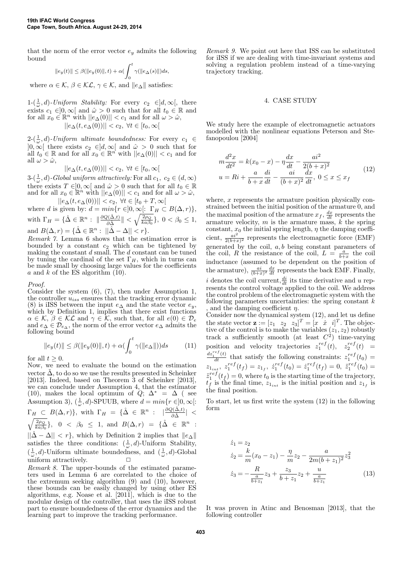that the norm of the error vector  $e_y$  admits the following bound

$$
||e_y(t)|| \le \beta(||e_y(0)||, t) + \alpha \left(\int_0^t \gamma(||e_\Delta(s)||)ds\right)
$$

where  $\alpha \in \mathcal{K}, \beta \in \mathcal{KL}, \gamma \in \mathcal{K}$ , and  $||e_{\Delta}||$  satisfies:

 $1-(\frac{1}{\omega},d)$ -Uniform Stability: For every  $c_2 \in ]d,\infty[$ , there exists  $c_1 \in ]0,\infty[$  and  $\hat{\omega} > 0$  such that for all  $t_0 \in \mathbb{R}$  and for all  $x_0 \in \mathbb{R}^n$  with  $||e_{\Delta}(0)|| < c_1$  and for all  $\omega > \hat{\omega}$ ,  $||e_{\Delta}(t, e_{\Delta}(0))|| < c_2, \ \forall t \in [t_0, \infty[$ 

 $2-(\frac{1}{\omega},d)$ -Uniform ultimate boundedness: For every  $c_1 \in$  $]0,\infty[$  there exists  $c_2 \in ]d,\infty[$  and  $\hat{\omega} > 0$  such that for all  $t_0 \in \mathbb{R}$  and for all  $x_0 \in \mathbb{R}^n$  with  $||e_{\Delta}(0)|| < c_1$  and for all  $\omega > \hat{\omega}$ ,

$$
||e_{\Delta}(t, e_{\Delta}(0))|| < c_2, \ \forall t \in [t_0, \infty[
$$

 $3-(\frac{1}{\omega}, d)$ -Global uniform attractively: For all  $c_1, c_2 \in (d, \infty)$ there exists  $T \in ]0,\infty[$  and  $\hat{\omega} > 0$  such that for all  $t_0 \in \mathbb{R}$ and for all  $x_0 \in \mathbb{R}^n$  with  $||e_\Delta(0)|| < c_1$  and for all  $\omega > \hat{\omega}$ ,  $||e_{\Delta}(t, e_{\Delta}(0))|| < c_2, \ \forall t \in [t_0 + T, \infty[$ 

where d is given by:  $d = min\{r \in ]0, \infty[ : \Gamma_H \subset B(\Delta, r)\},\$ with  $\Gamma_H = \{ \hat{\Delta} \in \mathbb{R}^n : ||\frac{\partial Q(\hat{\Delta}, t)}{\partial \hat{\Delta}}|| < \sqrt{\frac{2\rho_Q}{ka\beta_0}} \},\ 0 < \beta_0 \le 1,$ and  $B(\Delta, r) = {\hat{\Delta} \in \mathbb{R}^n : ||\hat{\Delta} - \Delta|| < r}.$ 

Remark 7. Lemma 6 shows that the estimation error is bounded by a constant  $c_2$  which can be tightened by making the constant  $d$  small. The  $d$  constant can be tuned by tuning the cardinal of the set  $\Gamma_H$ , which in turns can be made small by choosing large values for the coefficients a and k of the ES algorithm  $(10)$ .

#### Proof.

Consider the system (6), (7), then under Assumption 1, the controller  $u_{iss}$  ensures that the tracking error dynamic (8) is iISS between the input  $e_{\Delta}$  and the state vector  $e_y$ , which by Definition 1, implies that there exist functions  $\alpha \in \mathcal{K}, \beta \in \mathcal{KL}$  and  $\gamma \in \mathcal{K}$ , such that, for all  $e(0) \in \mathcal{D}_e$ and  $e_{\Delta} \in \mathcal{D}_{e_{\Delta}}$ , the norm of the error vector  $e_{\Delta}$  admits the following bound

$$
||e_y(t)|| \le \beta(||e_y(0)||, t) + \alpha \left(\int_0^t \gamma(||e_\Delta||)\right) ds \tag{11}
$$

for all  $t > 0$ .

Now, we need to evaluate the bound on the estimation vector  $\tilde{\Delta}$ , to do so we use the results presented in Scheinker [2013]. Indeed, based on Theorem 3 of Scheinker [2013], we can conclude under Assumption 4, that the estimator (10), makes the local optimum of  $Q$ ;  $\Delta^* = \Delta$  (see Assumption 3),  $(\frac{1}{\omega}, d)$ -SPUUB, where  $d = min\{r \in ]0, \infty[$ :  $\Gamma_H \subset B(\Delta, r)$ , with  $\Gamma_H = {\{\hat{\Delta} \in \mathbb{R}^n : \left| \frac{\partial Q(\hat{\Delta}, t)}{\partial \hat{\Delta}} \right|} <$  $\sqrt{\frac{2\rho_Q}{ka\beta_0}}$ , 0 <  $\beta_0 \leq 1$ , and  $B(\Delta, r) = {\hat{\Delta} \in \mathbb{R}^n}$ :  $||\hat{\Delta} - \Delta|| < r$ , which by Definition 2 implies that  $||e_{\Delta}||$ satisfies the three conditions:  $(\frac{1}{\omega}, d)$ -Uniform Stability,  $(\frac{1}{\omega}, d)$ -Uniform ultimate boundedness, and  $(\frac{1}{\omega}, d)$ -Global uniform attractively.

Remark 8. The upper-bounds of the estimated parameters used in Lemma 6 are correlated to the choice of the extremum seeking algorithm (9) and (10), however, these bounds can be easily changed by using other ES algorithms, e.g. Noase et al. [2011], which is due to the modular design of the controller, that uses the iISS robust part to ensure boundedness of the error dynamics and the learning part to improve the tracking performance.

Remark 9. We point out here that ISS can be substituted for iISS if we are dealing with time-invariant systems and solving a regulation problem instead of a time-varying trajectory tracking.

#### 4. CASE STUDY

We study here the example of electromagnetic actuators modelled with the nonlinear equations Peterson and Stefanopoulou [2004]

$$
m\frac{d^2x}{dt^2} = k(x_0 - x) - \eta \frac{dx}{dt} - \frac{ai^2}{2(b+x)^2}
$$
  
 
$$
u = Ri + \frac{a}{b+x}\frac{di}{dt} - \frac{ai}{(b+x)^2}\frac{dx}{dt}, \ 0 \le x \le x_f
$$
 (12)

where, x represents the armature position physically constrained between the initial position of the armature 0, and the maximal position of the armature  $x_f$ ,  $\frac{dx}{dt}$  represents the armature velocity,  $m$  is the armature mass,  $k$  the spring constant,  $x_0$  the initial spring length,  $\eta$  the damping coefficient,  $\frac{ai^2}{2(b+x)^2}$  represents the electromagnetic force (EMF) generated by the coil,  $a, b$  being constant parameters of the coil, R the resistance of the coil,  $L = \frac{a}{b+x}$  the coil inductance (assumed to be dependent on the position of the armature),  $\frac{ai}{(b+x)^2} \frac{dx}{dt}$  represents the back EMF. Finally, i denotes the coil current,  $\frac{di}{dt}$  its time derivative and u represents the control voltage applied to the coil. We address the control problem of the electromagnetic system with the following parameters uncertainties: the spring constant  $k$ , and the damping coefficient  $\eta$ . Consider now the dynamical system (12), and let us define

the state vector  $\mathbf{z} := [z_1 \ z_2 \ z_3]^T = [x \ \dot{x} \ i]^T$ . The objective of the control is to make the variables  $(z_1, z_2)$  robustly track a sufficiently smooth (at least  $C^2$ ) time-varying position and velocity trajectories  $z_1^{ref}(t)$ ,  $z_2^{ref}(t)$  =  $\frac{dz_1^{ref}(t)}{dt}$  that satisfy the following constraints:  $z_1^{ref}(t_0)$  =  $z_{1_{int}}, z_1^{ref}(t_f) = z_{1_f}, z_1^{ref}(t_0) = \dot{z}_1^{ref}(t_f) = 0, \ \ddot{z}_1^{ref}(t_0) =$  $z_1^{ref}(t_f) = 0$ , where  $t_0$  is the starting time of the trajectory,  $t_f$  is the final time,  $z_{1_{int}}$  is the initial position and  $z_{1_f}$  is the final position.

To start, let us first write the system (12) in the following form

$$
\dot{z}_1 = z_2
$$
\n
$$
\dot{z}_2 = \frac{k}{m}(x_0 - z_1) - \frac{\eta}{m}z_2 - \frac{a}{2m(b + z_1)^2}z_3^2
$$
\n
$$
\dot{z}_3 = -\frac{R}{\frac{a}{b + z_1}}z_3 + \frac{z_3}{b + z_1}z_2 + \frac{u}{\frac{a}{b + z_1}}
$$
\n(13)

It was proven in Atinc and Benosman [2013], that the following controller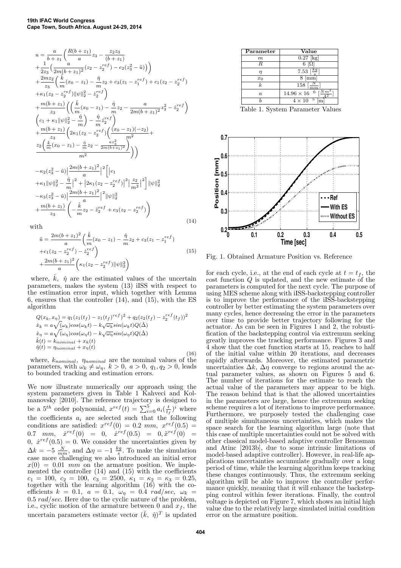$$
u = \frac{a}{b+z_1} \left( \frac{R(b+z_1)}{a} z_3 - \frac{z_2 z_3}{(b+z_1)} + \frac{1}{2z_3} \left( \frac{a}{2m(b+z_1)^2} (z_2 - z_2^{ref}) - c_2(z_3^2 - \tilde{u}) \right) \right) + \frac{2mz_2}{z_3} \left( \frac{\hat{k}}{m} (x_0 - z_1) - \frac{\hat{\eta}}{m} z_2 + c_3(z_1 - z_1^{ref}) + c_1(z_2 - z_2^{ref}) + \kappa_1(z_2 - z_2^{ref}) ||\psi||_2^2 - z_2^{ref} \right) + \frac{m(b+z_1)}{z_3} \left( \left( \frac{\hat{k}}{m} (x_0 - z_1) - \frac{\hat{\eta}}{m} z_2 - \frac{a}{2m(b+z_1)^2} z_3^2 - z_2^{ref} \right) \right) + \frac{m(b+z_1)}{z_3} \left( 2k_1(z_2 - z_2^{ref}) \left( \frac{(x_0 - z_1)(-z_2)}{m^2} + \frac{m(b+z_1)}{z_3} \left( 2k_1(z_2 - z_2^{ref}) \left( \frac{(x_0 - z_1)(-z_2)}{m^2} + \frac{z_2 \left( \frac{\hat{k}}{m} (x_0 - z_1) - \frac{\hat{\eta}}{m} z_2 - \frac{az_3^2}{2m(b+z_1)^2} \right)}{m^2} \right) \right)
$$
  
- \kappa\_2(z\_3^2 - \tilde{u}) \left| \frac{2m(b+z\_1)^2}{a} \right|^2 \left[ |c\_1 + k\_1 ||\psi||\_2^2 - \frac{\hat{\eta}}{m} |^2 + |2k\_1(z\_2 - z\_2^{ref})|^2 \right] \frac{z\_2}{m^2} |^2 \right] ||\psi||\_2^2   
- \kappa\_3(z\_3^2 - \tilde{u}) \left| \frac{2m(b+z\_1)^2}{a} \right|^2 ||\psi||\_2^2   
+ \frac{m(b+z\_1)}{z\_3} \left( -\frac{\hat{k}}{m} z\_2 - \tilde{z}\_2^{ref} + c\_3(z\_2 - z\_2^{ref}) \right)(14)

with

$$
\tilde{u} = \frac{2m(b+z_1)^2}{a} \left( \frac{\hat{k}}{m} (x_0 - z_1) - \frac{\hat{\eta}}{m} z_2 + c_3 (z_1 - z_1^{ref}) \right)
$$
  
+
$$
c_1 (z_2 - z_2^{ref}) - \dot{z}_2^{ref} \right)
$$
  
+
$$
\frac{2m(b+z_1)^2}{a} \left( \kappa_1 (z_2 - z_2^{ref}) ||\psi||_2^2 \right)
$$
 (15)

where,  $\hat{k}$ ,  $\hat{\eta}$  are the estimated values of the uncertain parameters, makes the system (13) iISS with respect to the estimation error input, which together with Lemma 6, ensures that the controller (14), and (15), with the ES algorithm

$$
Q(x_k, x_\eta) = q_1(z_1(t_f) - z_1(t_f)^{ref})^2 + q_2(z_2(t_f) - z_2^{ref}(t_f))^2
$$
  
\n
$$
\dot{x}_k = a\sqrt{(\omega_k)\cos(\omega_k t)} - k\sqrt{\omega_k}\sin(\omega_k t)Q(\hat{\Delta})
$$
  
\n
$$
\dot{x}_\eta = a\sqrt{(\omega_\eta)\cos(\omega_\eta t)} - k\sqrt{\omega_\eta}\sin(\omega_\eta t)Q(\hat{\Delta})
$$
  
\n
$$
\hat{k}(t) = k_{nominal} + x_k(t)
$$
  
\n
$$
\hat{\eta}(t) = \eta_{nominal} + x_\eta(t)
$$
\n(16)

where,  $k_{nominal}$ ,  $\eta_{nominal}$  are the nominal values of the parameters, with  $\omega_k \neq \omega_\eta$ ,  $k > 0$ ,  $a > 0$ ,  $q_1, q_2 > 0$ , leads to bounded tracking and estimation errors.

We now illustrate numerically our approach using the system parameters given in Table 1 Kahveci and Kolmanovsky [2010]. The reference trajectory is designed to be a 5<sup>th</sup> order polynomial,  $x^{ref}(t) = \sum_{i=0}^{5} a_i (\frac{t}{t_f})^i$  where the coefficients  $a_i$  are selected such that the following conditions are satisfied:  $x^{ref}(0) = 0.2 \, mm$ ,  $x^{ref}(0.5) =$ 0.7 mm,  $\dot{x}^{ref}(0) = 0$ ,  $\dot{x}^{ref}(0.5) = 0$ ,  $\ddot{x}^{ref}(0) = 0$  $0, \dot{x}^{ref}(0.5) = 0.$  We consider the uncertainties given by  $\Delta k = -5 \frac{N}{mm}$ , and  $\Delta \eta = -1 \frac{kg}{s}$ . To make the simulation case more challenging we also introduced an initial error  $x(0) = 0.01$  mm on the armature position. We implemented the controller  $(14)$  and  $(15)$  with the coefficients  $c_1 = 100, c_2 = 100, c_3 = 2500, \kappa_1 = \kappa_2 = \kappa_3 = 0.25,$ together with the learning algorithm (16) with the coefficients  $k = 0.1$ ,  $a = 0.1$ ,  $\omega_{\eta} = 0.4$  rad/sec,  $\omega_k =$  $0.5 rad/sec$ . Here due to the cyclic nature of the problem, i.e., cyclic motion of the armature between 0 and  $x<sub>f</sub>$ , the uncertain parameters estimate vector  $(\hat{k}, \hat{\eta})^T$  is updated

| Parameter        | Value                                       |
|------------------|---------------------------------------------|
| $\boldsymbol{m}$ | $0.27$ [kg]                                 |
| R                | 6                                           |
| η                | 7.53 $\left \frac{k\overline{g}}{g}\right $ |
| $x_0$            | $\vert$ mm                                  |
| k.               | 158<br>$\frac{1}{\sqrt{2}}$                 |
| $\boldsymbol{a}$ | $Nm^2$<br>6 r<br>$14.96\times16$            |
|                  | -5<br>$4 \times 10$                         |

Table 1. System Parameter Values



Fig. 1. Obtained Armature Position vs. Reference

for each cycle, i.e., at the end of each cycle at  $t = t_f$ , the cost function Q is updated, and the new estimate of the parameters is computed for the next cycle. The purpose of using MES scheme along with iISS-backstepping controller is to improve the performance of the iISS-backstepping controller by better estimating the system parameters over many cycles, hence decreasing the error in the parameters over time to provide better trajectory following for the actuator. As can be seen in Figures 1 and 2, the robustification of the backstepping control via extremum seeking greatly improves the tracking performance. Figures 3 and 4 show that the cost function starts at 15, reaches to half of the initial value within 20 iterations, and decreases rapidly afterwards. Moreover, the estimated parametric uncertainties  $\Delta k$ ,  $\Delta \eta$  converge to regions around the actual parameter values, as shown on Figures 5 and 6. The number of iterations for the estimate to reach the actual value of the parameters may appear to be high. The reason behind that is that the allowed uncertainties in the parameters are large, hence the extremum seeking scheme requires a lot of iterations to improve performance. Furthermore, we purposely tested the challenging case of multiple simultaneous uncertainties, which makes the space search for the learning algorithm large (note that this case of multiple uncertainties could not be solved with other classical model-based adaptive controller Benosman and Atinc [2013b], due to some intrinsic limitations of model-based adaptive controller). However, in real-life applications uncertainties accumulate gradually over a long period of time, while the learning algorithm keeps tracking these changes continuously. Thus, the extremum seeking algorithm will be able to improve the controller performance quickly, meaning that it will enhance the backstepping control within fewer iterations. Finally, the control voltage is depicted on Figure 7, which shows an initial high value due to the relatively large simulated initial condition error on the armature position.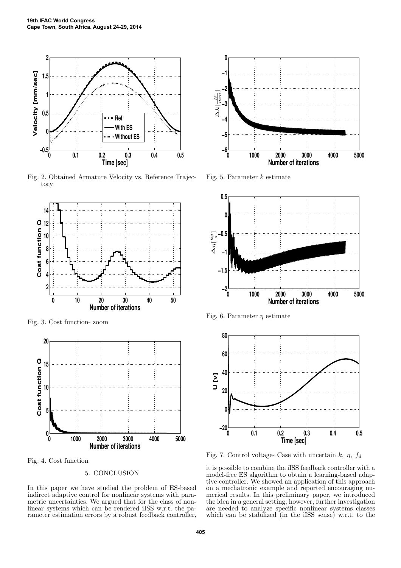

Fig. 2. Obtained Armature Velocity vs. Reference Trajectory



Fig. 3. Cost function- zoom



Fig. 4. Cost function

## 5. CONCLUSION

In this paper we have studied the problem of ES-based indirect adaptive control for nonlinear systems with parametric uncertainties. We argued that for the class of nonlinear systems which can be rendered iISS w.r.t. the parameter estimation errors by a robust feedback controller,



Fig. 5. Parameter  $k$  estimate



Fig. 6. Parameter  $\eta$  estimate



Fig. 7. Control voltage- Case with uncertain k,  $\eta$ ,  $f_d$ 

it is possible to combine the iISS feedback controller with a model-free ES algorithm to obtain a learning-based adaptive controller. We showed an application of this approach on a mechatronic example and reported encouraging numerical results. In this preliminary paper, we introduced the idea in a general setting, however, further investigation are needed to analyze specific nonlinear systems classes which can be stabilized (in the iISS sense) w.r.t. to the